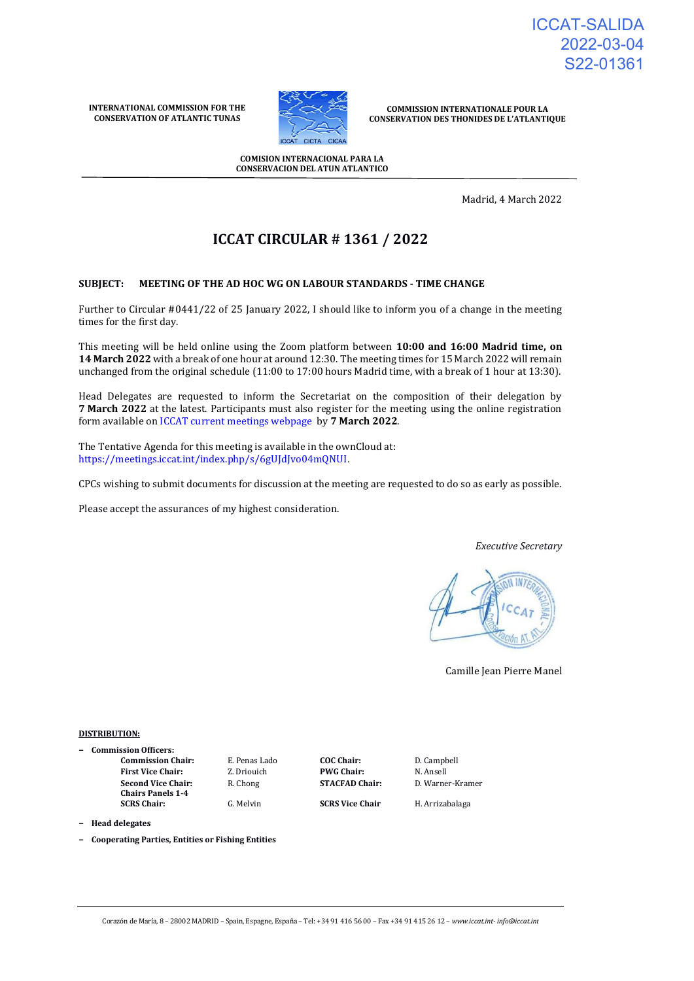ICCAT-SALIDA 2022-03-04 S22-01361

**INTERNATIONAL COMMISSION FOR THE CONSERVATION OF ATLANTIC TUNAS**



**COMMISSION INTERNATIONALE POUR LA CONSERVATION DES THONIDES DE L'ATLANTIQUE**

**COMISION INTERNACIONAL PARA LA CONSERVACION DEL ATUN ATLANTICO**

Madrid, 4 March 2022

# **ICCAT CIRCULAR # 1361 / 2022**

### **SUBJECT: MEETING OF THE AD HOC WG ON LABOUR STANDARDS - TIME CHANGE**

Further to Circular #0441/22 of 25 January 2022, I should like to inform you of a change in the meeting times for the first day.

This meeting will be held online using the Zoom platform between **10:00 and 16:00 Madrid time, on 14 March 2022** with a break of one hour at around 12:30. The meeting times for 15 March 2022 will remain unchanged from the original schedule (11:00 to 17:00 hours Madrid time, with a break of 1 hour at 13:30).

Head Delegates are requested to inform the Secretariat on the composition of their delegation by **7 March 2022** at the latest. Participants must also register for the meeting using the online registration form available o[n ICCAT current meetings webpage](https://www.iccat.int/en/Meetings.html) by **7 March 2022**.

The Tentative Agenda for this meeting is available in the ownCloud at: <https://meetings.iccat.int/index.php/s/6gUJdJvo04mQNUI>.

CPCs wishing to submit documents for discussion at the meeting are requested to do so as early as possible.

Please accept the assurances of my highest consideration.

#### *Executive Secretary*



Camille Jean Pierre Manel

### **DISTRIBUTION:**

**− Commission Officers: Commission Chair:** E. Penas Lado **COC Chair:** D. Campbell **First Vice Chair:** Z. Driouich **PWG Chair:** N. Ansell **Second Vice Chair: Chairs Panels 1-4**

**SCRS Chair:** G. Melvin **SCRS Vice Chair** H. Arrizabalaga

R. Chong **STACFAD Chair:** D. Warner-Kramer

**− Head delegates**

**− Cooperating Parties, Entities or Fishing Entities**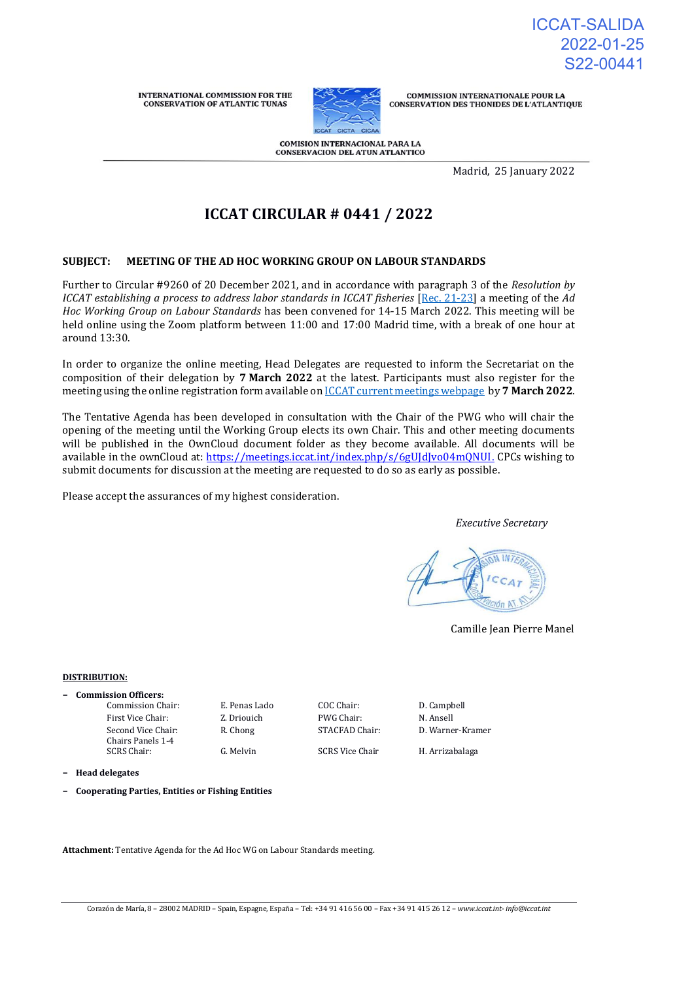ICCAT-SALIDA 2022-01-25 S22-00441

**INTERNATIONAL COMMISSION FOR THE CONSERVATION OF ATLANTIC TUNAS** 



**COMMISSION INTERNATIONALE POUR LA CONSERVATION DES THONIDES DE L'ATLANTIQUE** 

COMISION INTERNACIONAL PARA LA CONSERVACION DEL ATUN ATLANTICO

Madrid, 25 January 2022

# **ICCAT CIRCULAR # 0441 / 2022**

### **SUBJECT: MEETING OF THE AD HOC WORKING GROUP ON LABOUR STANDARDS**

Further to Circular #9260 of 20 December 2021, and in accordance with paragraph 3 of the *[Resolution by](https://www.iccat.int/Documents/Recs/compendiopdf-e/2021-23-e.pdf)  [ICCAT establishing a process to address labor standards in ICCAT fisheries](https://www.iccat.int/Documents/Recs/compendiopdf-e/2021-23-e.pdf)* [\[Rec. 21-23\]](https://www.iccat.int/Documents/Recs/compendiopdf-e/2021-23-e.pdf) a meeting of the *Ad Hoc Working Group on Labour Standards* has been convened for 14-15 March 2022. This meeting will be held online using the Zoom platform between 11:00 and 17:00 Madrid time, with a break of one hour at around 13:30.

In order to organize the online meeting, Head Delegates are requested to inform the Secretariat on the composition of their delegation by **7 March 2022** at the latest. Participants must also register for the meeting using the online registration form available on [ICCAT current meetings webpage](https://www.iccat.int/en/Meetings.html) by **7 March 2022**.

The Tentative Agenda has been developed in consultation with the Chair of the PWG who will chair the opening of the meeting until the Working Group elects its own Chair. This and other meeting documents will be published in the OwnCloud document folder as they become available. All documents will be available in the ownCloud at: <https://meetings.iccat.int/index.php/s/6gUJdJvo04mQNUI>. CPCs wishing to submit documents for discussion at the meeting are requested to do so as early as possible.

Please accept the assurances of my highest consideration.

*Executive Secretary*

Camille Jean Pierre Manel

#### **DISTRIBUTION:**

**− Commission Officers:**

Commission Chair: E. Penas Lado COC Chair: D. Campbell First Vice Chair: Z. Driouich PWG Chair: N. Ansell Second Vice Chair: Chairs Panels 1-4 SCRS Chair: G. Melvin SCRS Vice Chair H. Arrizabalaga

R. Chong STACFAD Chair: D. Warner-Kramer

**− Head delegates**

**− Cooperating Parties, Entities or Fishing Entities**

**Attachment:** Tentative Agenda for the Ad Hoc WG on Labour Standards meeting.